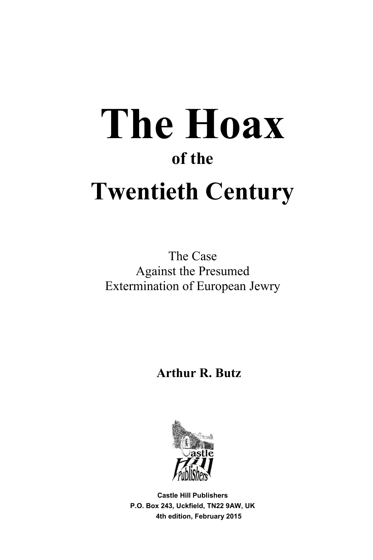# **The Hoax of the Twentieth Century**

The Case Against the Presumed Extermination of European Jewry

**Arthur R. Butz**



**Castle Hill Publishers P.O. Box 243, Uckfield, TN22 9AW, UK 4th edition, February 2015**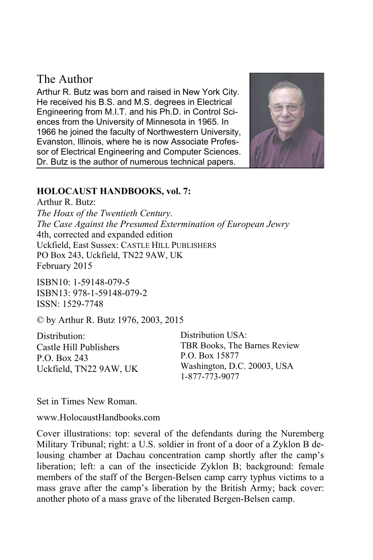### The Author

Arthur R. Butz was born and raised in New York City. He received his B.S. and M.S. degrees in Electrical Engineering from M.I.T. and his Ph.D. in Control Sciences from the University of Minnesota in 1965. In 1966 he joined the faculty of Northwestern University, Evanston, Illinois, where he is now Associate Professor of Electrical Engineering and Computer Sciences. Dr. Butz is the author of numerous technical papers.



#### **HOLOCAUST HANDBOOKS, vol. 7:**

Arthur R. Butz: *The Hoax of the Twentieth Century. The Case Against the Presumed Extermination of European Jewry*  4th, corrected and expanded edition Uckfield, East Sussex: CASTLE HILL PUBLISHERS PO Box 243, Uckfield, TN22 9AW, UK February 2015

ISBN10: 1-59148-079-5 ISBN13: 978-1-59148-079-2 ISSN: 1529-7748

© by Arthur R. Butz 1976, 2003, 2015

Distribution: Castle Hill Publishers P.O. Box 243 Uckfield, TN22 9AW, UK Distribution USA: TBR Books, The Barnes Review P.O. Box 15877 Washington, D.C. 20003, USA 1-877-773-9077

Set in Times New Roman.

www.HolocaustHandbooks.com

Cover illustrations: top: several of the defendants during the Nuremberg Military Tribunal; right: a U.S. soldier in front of a door of a Zyklon B delousing chamber at Dachau concentration camp shortly after the camp's liberation; left: a can of the insecticide Zyklon B; background: female members of the staff of the Bergen-Belsen camp carry typhus victims to a mass grave after the camp's liberation by the British Army; back cover: another photo of a mass grave of the liberated Bergen-Belsen camp.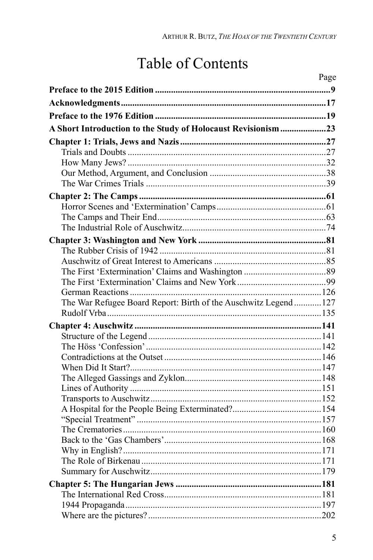# Table of Contents

|                                                                 | Page |
|-----------------------------------------------------------------|------|
|                                                                 |      |
|                                                                 |      |
|                                                                 |      |
| A Short Introduction to the Study of Holocaust Revisionism 23   |      |
|                                                                 |      |
|                                                                 |      |
|                                                                 |      |
|                                                                 |      |
|                                                                 |      |
|                                                                 |      |
|                                                                 |      |
|                                                                 |      |
|                                                                 |      |
|                                                                 |      |
|                                                                 |      |
|                                                                 |      |
|                                                                 |      |
|                                                                 |      |
|                                                                 |      |
| The War Refugee Board Report: Birth of the Auschwitz Legend 127 |      |
|                                                                 |      |
|                                                                 |      |
|                                                                 |      |
|                                                                 |      |
|                                                                 |      |
|                                                                 |      |
|                                                                 |      |
|                                                                 |      |
|                                                                 |      |
|                                                                 |      |
|                                                                 |      |
|                                                                 |      |
|                                                                 |      |
|                                                                 |      |
|                                                                 |      |
|                                                                 |      |
|                                                                 |      |
|                                                                 |      |
|                                                                 |      |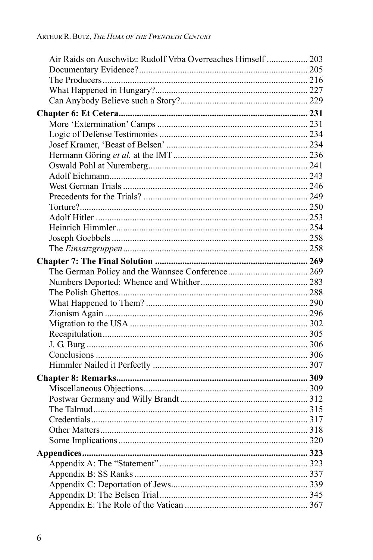| Air Raids on Auschwitz: Rudolf Vrba Overreaches Himself  203 |  |
|--------------------------------------------------------------|--|
|                                                              |  |
|                                                              |  |
|                                                              |  |
|                                                              |  |
|                                                              |  |
|                                                              |  |
|                                                              |  |
|                                                              |  |
|                                                              |  |
|                                                              |  |
|                                                              |  |
|                                                              |  |
|                                                              |  |
|                                                              |  |
|                                                              |  |
|                                                              |  |
|                                                              |  |
|                                                              |  |
|                                                              |  |
|                                                              |  |
|                                                              |  |
|                                                              |  |
|                                                              |  |
|                                                              |  |
|                                                              |  |
|                                                              |  |
|                                                              |  |
|                                                              |  |
|                                                              |  |
|                                                              |  |
|                                                              |  |
|                                                              |  |
|                                                              |  |
|                                                              |  |
|                                                              |  |
|                                                              |  |
| Some Implications                                            |  |
|                                                              |  |
|                                                              |  |
|                                                              |  |
|                                                              |  |
|                                                              |  |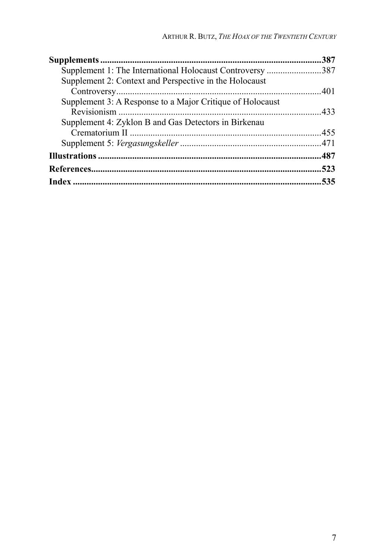|                                                           | 387  |
|-----------------------------------------------------------|------|
| Supplement 1: The International Holocaust Controversy 387 |      |
| Supplement 2: Context and Perspective in the Holocaust    |      |
|                                                           |      |
| Supplement 3: A Response to a Major Critique of Holocaust |      |
|                                                           |      |
| Supplement 4: Zyklon B and Gas Detectors in Birkenau      |      |
|                                                           |      |
|                                                           |      |
|                                                           |      |
|                                                           |      |
|                                                           | .535 |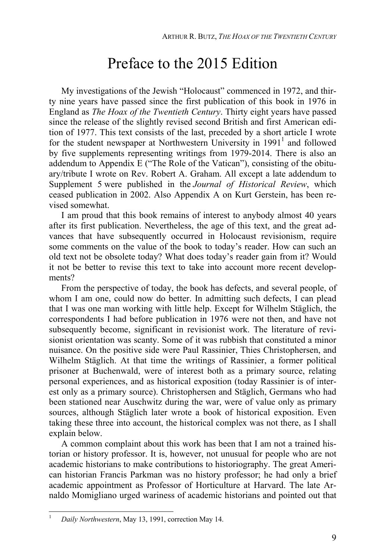## Preface to the 2015 Edition

My investigations of the Jewish "Holocaust" commenced in 1972, and thirty nine years have passed since the first publication of this book in 1976 in England as *The Hoax of the Twentieth Century*. Thirty eight years have passed since the release of the slightly revised second British and first American edition of 1977. This text consists of the last, preceded by a short article I wrote for the student newspaper at Northwestern University in  $1991<sup>1</sup>$  and followed by five supplements representing writings from 1979-2014. There is also an addendum to Appendix E ("The Role of the Vatican"), consisting of the obituary/tribute I wrote on Rev. Robert A. Graham. All except a late addendum to Supplement 5 were published in the *Journal of Historical Review*, which ceased publication in 2002. Also Appendix A on Kurt Gerstein, has been revised somewhat.

I am proud that this book remains of interest to anybody almost 40 years after its first publication. Nevertheless, the age of this text, and the great advances that have subsequently occurred in Holocaust revisionism, require some comments on the value of the book to today's reader. How can such an old text not be obsolete today? What does today's reader gain from it? Would it not be better to revise this text to take into account more recent developments?

From the perspective of today, the book has defects, and several people, of whom I am one, could now do better. In admitting such defects, I can plead that I was one man working with little help. Except for Wilhelm Stäglich, the correspondents I had before publication in 1976 were not then, and have not subsequently become, significant in revisionist work. The literature of revisionist orientation was scanty. Some of it was rubbish that constituted a minor nuisance. On the positive side were Paul Rassinier, Thies Christophersen, and Wilhelm Stäglich. At that time the writings of Rassinier, a former political prisoner at Buchenwald, were of interest both as a primary source, relating personal experiences, and as historical exposition (today Rassinier is of interest only as a primary source). Christophersen and Stäglich, Germans who had been stationed near Auschwitz during the war, were of value only as primary sources, although Stäglich later wrote a book of historical exposition. Even taking these three into account, the historical complex was not there, as I shall explain below.

A common complaint about this work has been that I am not a trained historian or history professor. It is, however, not unusual for people who are not academic historians to make contributions to historiography. The great American historian Francis Parkman was no history professor; he had only a brief academic appointment as Professor of Horticulture at Harvard. The late Arnaldo Momigliano urged wariness of academic historians and pointed out that

 $\overline{\phantom{a}}$ <sup>1</sup> *Daily Northwestern*, May 13, 1991, correction May 14.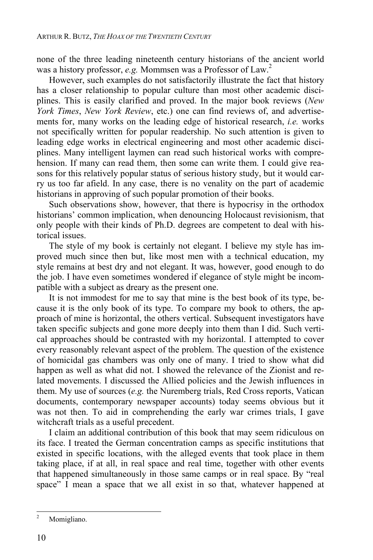none of the three leading nineteenth century historians of the ancient world was a history professor, *e.g.* Mommsen was a Professor of Law.<sup>2</sup>

However, such examples do not satisfactorily illustrate the fact that history has a closer relationship to popular culture than most other academic disciplines. This is easily clarified and proved. In the major book reviews (*New York Times*, *New York Review*, etc.) one can find reviews of, and advertisements for, many works on the leading edge of historical research, *i.e.* works not specifically written for popular readership. No such attention is given to leading edge works in electrical engineering and most other academic disciplines. Many intelligent laymen can read such historical works with comprehension. If many can read them, then some can write them. I could give reasons for this relatively popular status of serious history study, but it would carry us too far afield. In any case, there is no venality on the part of academic historians in approving of such popular promotion of their books.

Such observations show, however, that there is hypocrisy in the orthodox historians' common implication, when denouncing Holocaust revisionism, that only people with their kinds of Ph.D. degrees are competent to deal with historical issues.

The style of my book is certainly not elegant. I believe my style has improved much since then but, like most men with a technical education, my style remains at best dry and not elegant. It was, however, good enough to do the job. I have even sometimes wondered if elegance of style might be incompatible with a subject as dreary as the present one.

It is not immodest for me to say that mine is the best book of its type, because it is the only book of its type. To compare my book to others, the approach of mine is horizontal, the others vertical. Subsequent investigators have taken specific subjects and gone more deeply into them than I did. Such vertical approaches should be contrasted with my horizontal. I attempted to cover every reasonably relevant aspect of the problem. The question of the existence of homicidal gas chambers was only one of many. I tried to show what did happen as well as what did not. I showed the relevance of the Zionist and related movements. I discussed the Allied policies and the Jewish influences in them. My use of sources (*e.g.* the Nuremberg trials, Red Cross reports, Vatican documents, contemporary newspaper accounts) today seems obvious but it was not then. To aid in comprehending the early war crimes trials, I gave witchcraft trials as a useful precedent.

I claim an additional contribution of this book that may seem ridiculous on its face. I treated the German concentration camps as specific institutions that existed in specific locations, with the alleged events that took place in them taking place, if at all, in real space and real time, together with other events that happened simultaneously in those same camps or in real space. By "real space" I mean a space that we all exist in so that, whatever happened at

 $\frac{1}{2}$ Momigliano.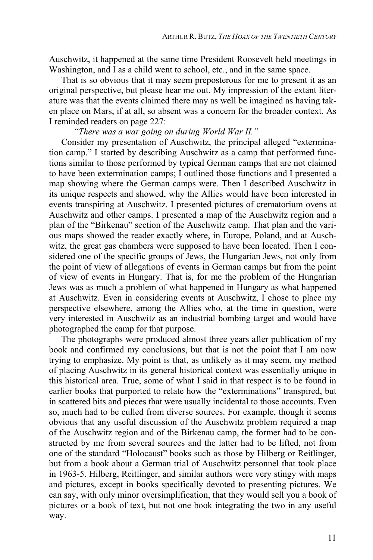Auschwitz, it happened at the same time President Roosevelt held meetings in Washington, and I as a child went to school, etc., and in the same space.

That is so obvious that it may seem preposterous for me to present it as an original perspective, but please hear me out. My impression of the extant literature was that the events claimed there may as well be imagined as having taken place on Mars, if at all, so absent was a concern for the broader context. As I reminded readers on page 227:

#### *"There was a war going on during World War II."*

Consider my presentation of Auschwitz, the principal alleged "extermination camp." I started by describing Auschwitz as a camp that performed functions similar to those performed by typical German camps that are not claimed to have been extermination camps; I outlined those functions and I presented a map showing where the German camps were. Then I described Auschwitz in its unique respects and showed, why the Allies would have been interested in events transpiring at Auschwitz. I presented pictures of crematorium ovens at Auschwitz and other camps. I presented a map of the Auschwitz region and a plan of the "Birkenau" section of the Auschwitz camp. That plan and the various maps showed the reader exactly where, in Europe, Poland, and at Auschwitz, the great gas chambers were supposed to have been located. Then I considered one of the specific groups of Jews, the Hungarian Jews, not only from the point of view of allegations of events in German camps but from the point of view of events in Hungary. That is, for me the problem of the Hungarian Jews was as much a problem of what happened in Hungary as what happened at Auschwitz. Even in considering events at Auschwitz, I chose to place my perspective elsewhere, among the Allies who, at the time in question, were very interested in Auschwitz as an industrial bombing target and would have photographed the camp for that purpose.

The photographs were produced almost three years after publication of my book and confirmed my conclusions, but that is not the point that I am now trying to emphasize. My point is that, as unlikely as it may seem, my method of placing Auschwitz in its general historical context was essentially unique in this historical area. True, some of what I said in that respect is to be found in earlier books that purported to relate how the "exterminations" transpired, but in scattered bits and pieces that were usually incidental to those accounts. Even so, much had to be culled from diverse sources. For example, though it seems obvious that any useful discussion of the Auschwitz problem required a map of the Auschwitz region and of the Birkenau camp, the former had to be constructed by me from several sources and the latter had to be lifted, not from one of the standard "Holocaust" books such as those by Hilberg or Reitlinger, but from a book about a German trial of Auschwitz personnel that took place in 1963-5. Hilberg, Reitlinger, and similar authors were very stingy with maps and pictures, except in books specifically devoted to presenting pictures. We can say, with only minor oversimplification, that they would sell you a book of pictures or a book of text, but not one book integrating the two in any useful way.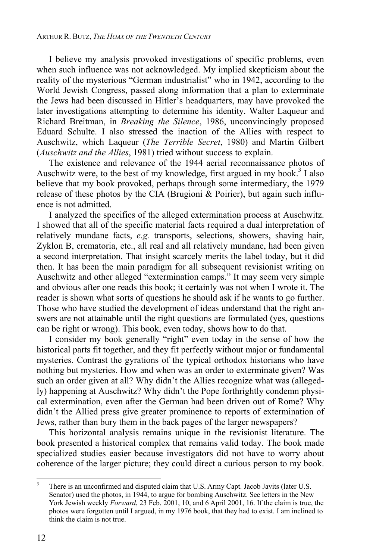I believe my analysis provoked investigations of specific problems, even when such influence was not acknowledged. My implied skepticism about the reality of the mysterious "German industrialist" who in 1942, according to the World Jewish Congress, passed along information that a plan to exterminate the Jews had been discussed in Hitler's headquarters, may have provoked the later investigations attempting to determine his identity. Walter Laqueur and Richard Breitman, in *Breaking the Silence*, 1986, unconvincingly proposed Eduard Schulte. I also stressed the inaction of the Allies with respect to Auschwitz, which Laqueur (*The Terrible Secret*, 1980) and Martin Gilbert (*Auschwitz and the Allies*, 1981) tried without success to explain.

The existence and relevance of the 1944 aerial reconnaissance photos of Auschwitz were, to the best of my knowledge, first argued in my book.<sup>3</sup> I also believe that my book provoked, perhaps through some intermediary, the 1979 release of these photos by the CIA (Brugioni  $\&$  Poirier), but again such influence is not admitted.

I analyzed the specifics of the alleged extermination process at Auschwitz. I showed that all of the specific material facts required a dual interpretation of relatively mundane facts, *e.g.* transports, selections, showers, shaving hair, Zyklon B, crematoria, etc., all real and all relatively mundane, had been given a second interpretation. That insight scarcely merits the label today, but it did then. It has been the main paradigm for all subsequent revisionist writing on Auschwitz and other alleged "extermination camps." It may seem very simple and obvious after one reads this book; it certainly was not when I wrote it. The reader is shown what sorts of questions he should ask if he wants to go further. Those who have studied the development of ideas understand that the right answers are not attainable until the right questions are formulated (yes, questions can be right or wrong). This book, even today, shows how to do that.

I consider my book generally "right" even today in the sense of how the historical parts fit together, and they fit perfectly without major or fundamental mysteries. Contrast the gyrations of the typical orthodox historians who have nothing but mysteries. How and when was an order to exterminate given? Was such an order given at all? Why didn't the Allies recognize what was (allegedly) happening at Auschwitz? Why didn't the Pope forthrightly condemn physical extermination, even after the German had been driven out of Rome? Why didn't the Allied press give greater prominence to reports of extermination of Jews, rather than bury them in the back pages of the larger newspapers?

This horizontal analysis remains unique in the revisionist literature. The book presented a historical complex that remains valid today. The book made specialized studies easier because investigators did not have to worry about coherence of the larger picture; they could direct a curious person to my book.

 3 There is an unconfirmed and disputed claim that U.S. Army Capt. Jacob Javits (later U.S. Senator) used the photos, in 1944, to argue for bombing Auschwitz. See letters in the New York Jewish weekly *Forward*, 23 Feb. 2001, 10, and 6 April 2001, 16. If the claim is true, the photos were forgotten until I argued, in my 1976 book, that they had to exist. I am inclined to think the claim is not true.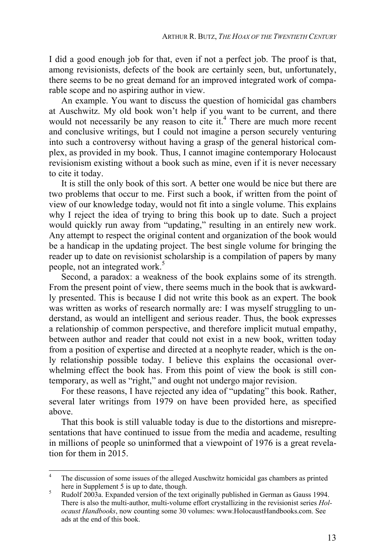I did a good enough job for that, even if not a perfect job. The proof is that, among revisionists, defects of the book are certainly seen, but, unfortunately, there seems to be no great demand for an improved integrated work of comparable scope and no aspiring author in view.

An example. You want to discuss the question of homicidal gas chambers at Auschwitz. My old book won't help if you want to be current, and there would not necessarily be any reason to cite it.<sup>4</sup> There are much more recent and conclusive writings, but I could not imagine a person securely venturing into such a controversy without having a grasp of the general historical complex, as provided in my book. Thus, I cannot imagine contemporary Holocaust revisionism existing without a book such as mine, even if it is never necessary to cite it today.

It is still the only book of this sort. A better one would be nice but there are two problems that occur to me. First such a book, if written from the point of view of our knowledge today, would not fit into a single volume. This explains why I reject the idea of trying to bring this book up to date. Such a project would quickly run away from "updating," resulting in an entirely new work. Any attempt to respect the original content and organization of the book would be a handicap in the updating project. The best single volume for bringing the reader up to date on revisionist scholarship is a compilation of papers by many people, not an integrated work.<sup>5</sup>

Second, a paradox: a weakness of the book explains some of its strength. From the present point of view, there seems much in the book that is awkwardly presented. This is because I did not write this book as an expert. The book was written as works of research normally are: I was myself struggling to understand, as would an intelligent and serious reader. Thus, the book expresses a relationship of common perspective, and therefore implicit mutual empathy, between author and reader that could not exist in a new book, written today from a position of expertise and directed at a neophyte reader, which is the only relationship possible today. I believe this explains the occasional overwhelming effect the book has. From this point of view the book is still contemporary, as well as "right," and ought not undergo major revision.

For these reasons, I have rejected any idea of "updating" this book. Rather, several later writings from 1979 on have been provided here, as specified above.

That this book is still valuable today is due to the distortions and misrepresentations that have continued to issue from the media and academe, resulting in millions of people so uninformed that a viewpoint of 1976 is a great revelation for them in 2015.

 $\overline{\phantom{a}}$ 4 The discussion of some issues of the alleged Auschwitz homicidal gas chambers as printed here in Supplement 5 is up to date, though.

Rudolf 2003a. Expanded version of the text originally published in German as Gauss 1994. There is also the multi-author, multi-volume effort crystallizing in the revisionist series *Holocaust Handbooks*, now counting some 30 volumes: www.HolocaustHandbooks.com. See ads at the end of this book.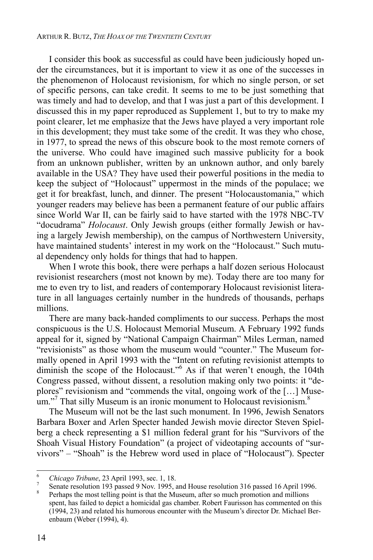#### ARTHUR R. BUTZ, *THE HOAX OF THE TWENTIETH CENTURY*

I consider this book as successful as could have been judiciously hoped under the circumstances, but it is important to view it as one of the successes in the phenomenon of Holocaust revisionism, for which no single person, or set of specific persons, can take credit. It seems to me to be just something that was timely and had to develop, and that I was just a part of this development. I discussed this in my paper reproduced as Supplement 1, but to try to make my point clearer, let me emphasize that the Jews have played a very important role in this development; they must take some of the credit. It was they who chose, in 1977, to spread the news of this obscure book to the most remote corners of the universe. Who could have imagined such massive publicity for a book from an unknown publisher, written by an unknown author, and only barely available in the USA? They have used their powerful positions in the media to keep the subject of "Holocaust" uppermost in the minds of the populace; we get it for breakfast, lunch, and dinner. The present "Holocaustomania," which younger readers may believe has been a permanent feature of our public affairs since World War II, can be fairly said to have started with the 1978 NBC-TV "docudrama" *Holocaust*. Only Jewish groups (either formally Jewish or having a largely Jewish membership), on the campus of Northwestern University, have maintained students' interest in my work on the "Holocaust." Such mutual dependency only holds for things that had to happen.

When I wrote this book, there were perhaps a half dozen serious Holocaust revisionist researchers (most not known by me). Today there are too many for me to even try to list, and readers of contemporary Holocaust revisionist literature in all languages certainly number in the hundreds of thousands, perhaps millions.

There are many back-handed compliments to our success. Perhaps the most conspicuous is the U.S. Holocaust Memorial Museum. A February 1992 funds appeal for it, signed by "National Campaign Chairman" Miles Lerman, named "revisionists" as those whom the museum would "counter." The Museum formally opened in April 1993 with the "Intent on refuting revisionist attempts to diminish the scope of the Holocaust."<sup>6</sup> As if that weren't enough, the 104th Congress passed, without dissent, a resolution making only two points: it "deplores" revisionism and "commends the vital, ongoing work of the […] Museum."<sup>7</sup> That silly Museum is an ironic monument to Holocaust revisionism.<sup>8</sup>

The Museum will not be the last such monument. In 1996, Jewish Senators Barbara Boxer and Arlen Specter handed Jewish movie director Steven Spielberg a check representing a \$1 million federal grant for his "Survivors of the Shoah Visual History Foundation" (a project of videotaping accounts of "survivors" – "Shoah" is the Hebrew word used in place of "Holocaust"). Specter

 $\epsilon$ <sup>6</sup> Chicago Tribune, 23 April 1993, sec. 1, 18.

Senate resolution 193 passed 9 Nov. 1995, and House resolution 316 passed 16 April 1996.

<sup>8</sup> Perhaps the most telling point is that the Museum, after so much promotion and millions spent, has failed to depict a homicidal gas chamber. Robert Faurisson has commented on this (1994, 23) and related his humorous encounter with the Museum's director Dr. Michael Berenbaum (Weber (1994), 4).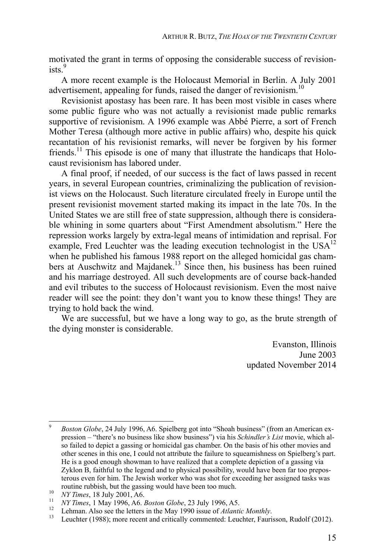motivated the grant in terms of opposing the considerable success of revisionists<sup>9</sup>

A more recent example is the Holocaust Memorial in Berlin. A July 2001 advertisement, appealing for funds, raised the danger of revisionism.<sup>10</sup>

Revisionist apostasy has been rare. It has been most visible in cases where some public figure who was not actually a revisionist made public remarks supportive of revisionism. A 1996 example was Abbé Pierre, a sort of French Mother Teresa (although more active in public affairs) who, despite his quick recantation of his revisionist remarks, will never be forgiven by his former friends.<sup>11</sup> This episode is one of many that illustrate the handicaps that Holocaust revisionism has labored under.

A final proof, if needed, of our success is the fact of laws passed in recent years, in several European countries, criminalizing the publication of revisionist views on the Holocaust. Such literature circulated freely in Europe until the present revisionist movement started making its impact in the late 70s. In the United States we are still free of state suppression, although there is considerable whining in some quarters about "First Amendment absolutism." Here the repression works largely by extra-legal means of intimidation and reprisal. For example, Fred Leuchter was the leading execution technologist in the USA<sup>12</sup> when he published his famous 1988 report on the alleged homicidal gas chambers at Auschwitz and Majdanek.<sup>13</sup> Since then, his business has been ruined and his marriage destroyed. All such developments are of course back-handed and evil tributes to the success of Holocaust revisionism. Even the most naive reader will see the point: they don't want you to know these things! They are trying to hold back the wind.

We are successful, but we have a long way to go, as the brute strength of the dying monster is considerable.

> Evanston, Illinois June 2003 updated November 2014

 $\overline{\phantom{a}}$ 9  *Boston Globe*, 24 July 1996, A6. Spielberg got into "Shoah business" (from an American expression – "there's no business like show business") via his *Schindler's List* movie, which also failed to depict a gassing or homicidal gas chamber. On the basis of his other movies and other scenes in this one, I could not attribute the failure to squeamishness on Spielberg's part. He is a good enough showman to have realized that a complete depiction of a gassing via Zyklon B, faithful to the legend and to physical possibility, would have been far too preposterous even for him. The Jewish worker who was shot for exceeding her assigned tasks was routine rubbish, but the gassing would have been too much.<br>
<sup>10</sup> *NY Times*, 18 July 2001, A6.<br>
<sup>11</sup> *NY Times*, 1 May 1996, A6. *Boston Globe*, 23 July 1996, A5.<br>
<sup>12</sup> Lehman. Also see the letters in the May 1990 issue of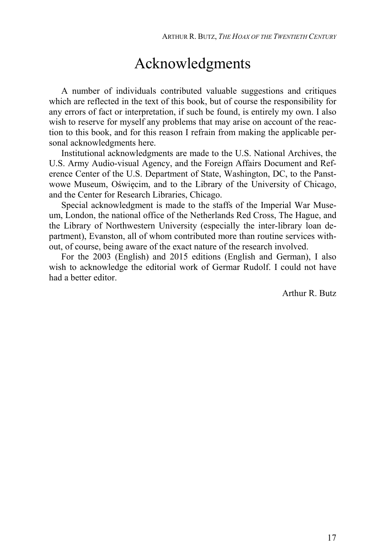## Acknowledgments

A number of individuals contributed valuable suggestions and critiques which are reflected in the text of this book, but of course the responsibility for any errors of fact or interpretation, if such be found, is entirely my own. I also wish to reserve for myself any problems that may arise on account of the reaction to this book, and for this reason I refrain from making the applicable personal acknowledgments here.

Institutional acknowledgments are made to the U.S. National Archives, the U.S. Army Audio-visual Agency, and the Foreign Affairs Document and Reference Center of the U.S. Department of State, Washington, DC, to the Panstwowe Museum, Oświęcim, and to the Library of the University of Chicago, and the Center for Research Libraries, Chicago.

Special acknowledgment is made to the staffs of the Imperial War Museum, London, the national office of the Netherlands Red Cross, The Hague, and the Library of Northwestern University (especially the inter-library loan department), Evanston, all of whom contributed more than routine services without, of course, being aware of the exact nature of the research involved.

For the 2003 (English) and 2015 editions (English and German), I also wish to acknowledge the editorial work of Germar Rudolf. I could not have had a better editor.

Arthur R. Butz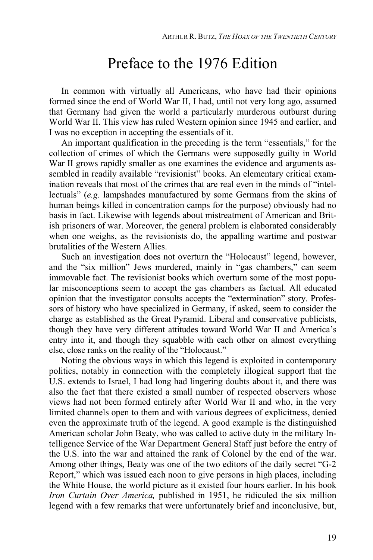## Preface to the 1976 Edition

In common with virtually all Americans, who have had their opinions formed since the end of World War II, I had, until not very long ago, assumed that Germany had given the world a particularly murderous outburst during World War II. This view has ruled Western opinion since 1945 and earlier, and I was no exception in accepting the essentials of it.

An important qualification in the preceding is the term "essentials," for the collection of crimes of which the Germans were supposedly guilty in World War II grows rapidly smaller as one examines the evidence and arguments assembled in readily available "revisionist" books. An elementary critical examination reveals that most of the crimes that are real even in the minds of "intellectuals" (*e.g.* lampshades manufactured by some Germans from the skins of human beings killed in concentration camps for the purpose) obviously had no basis in fact. Likewise with legends about mistreatment of American and British prisoners of war. Moreover, the general problem is elaborated considerably when one weighs, as the revisionists do, the appalling wartime and postwar brutalities of the Western Allies.

Such an investigation does not overturn the "Holocaust" legend, however, and the "six million" Jews murdered, mainly in "gas chambers," can seem immovable fact. The revisionist books which overturn some of the most popular misconceptions seem to accept the gas chambers as factual. All educated opinion that the investigator consults accepts the "extermination" story. Professors of history who have specialized in Germany, if asked, seem to consider the charge as established as the Great Pyramid. Liberal and conservative publicists, though they have very different attitudes toward World War II and America's entry into it, and though they squabble with each other on almost everything else, close ranks on the reality of the "Holocaust."

Noting the obvious ways in which this legend is exploited in contemporary politics, notably in connection with the completely illogical support that the U.S. extends to Israel, I had long had lingering doubts about it, and there was also the fact that there existed a small number of respected observers whose views had not been formed entirely after World War II and who, in the very limited channels open to them and with various degrees of explicitness, denied even the approximate truth of the legend. A good example is the distinguished American scholar John Beaty, who was called to active duty in the military Intelligence Service of the War Department General Staff just before the entry of the U.S. into the war and attained the rank of Colonel by the end of the war. Among other things, Beaty was one of the two editors of the daily secret "G-2 Report," which was issued each noon to give persons in high places, including the White House, the world picture as it existed four hours earlier. In his book *Iron Curtain Over America,* published in 1951, he ridiculed the six million legend with a few remarks that were unfortunately brief and inconclusive, but,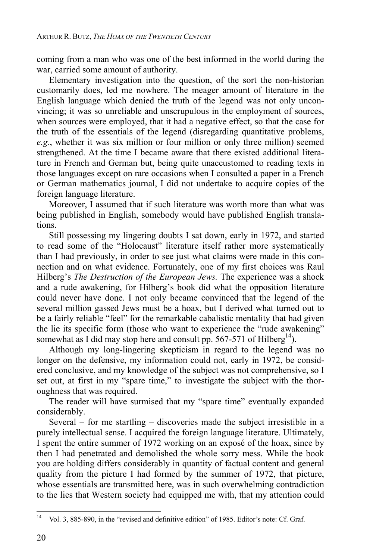coming from a man who was one of the best informed in the world during the war, carried some amount of authority.

Elementary investigation into the question, of the sort the non-historian customarily does, led me nowhere. The meager amount of literature in the English language which denied the truth of the legend was not only unconvincing; it was so unreliable and unscrupulous in the employment of sources, when sources were employed, that it had a negative effect, so that the case for the truth of the essentials of the legend (disregarding quantitative problems, *e.g.*, whether it was six million or four million or only three million) seemed strengthened. At the time I became aware that there existed additional literature in French and German but, being quite unaccustomed to reading texts in those languages except on rare occasions when I consulted a paper in a French or German mathematics journal, I did not undertake to acquire copies of the foreign language literature.

Moreover, I assumed that if such literature was worth more than what was being published in English, somebody would have published English translations.

Still possessing my lingering doubts I sat down, early in 1972, and started to read some of the "Holocaust" literature itself rather more systematically than I had previously, in order to see just what claims were made in this connection and on what evidence. Fortunately, one of my first choices was Raul Hilberg's *The Destruction of the European Jews.* The experience was a shock and a rude awakening, for Hilberg's book did what the opposition literature could never have done. I not only became convinced that the legend of the several million gassed Jews must be a hoax, but I derived what turned out to be a fairly reliable "feel" for the remarkable cabalistic mentality that had given the lie its specific form (those who want to experience the "rude awakening" somewhat as I did may stop here and consult pp. 567-571 of Hilberg<sup>14</sup>).

Although my long-lingering skepticism in regard to the legend was no longer on the defensive, my information could not, early in 1972, be considered conclusive, and my knowledge of the subject was not comprehensive, so I set out, at first in my "spare time," to investigate the subject with the thoroughness that was required.

The reader will have surmised that my "spare time" eventually expanded considerably.

Several – for me startling – discoveries made the subject irresistible in a purely intellectual sense. I acquired the foreign language literature. Ultimately, I spent the entire summer of 1972 working on an exposé of the hoax, since by then I had penetrated and demolished the whole sorry mess. While the book you are holding differs considerably in quantity of factual content and general quality from the picture I had formed by the summer of 1972, that picture, whose essentials are transmitted here, was in such overwhelming contradiction to the lies that Western society had equipped me with, that my attention could

 $14\,$ 14 Vol. 3, 885-890, in the "revised and definitive edition" of 1985. Editor's note: Cf. Graf.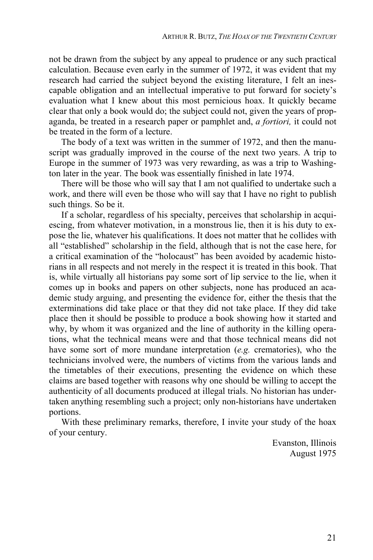not be drawn from the subject by any appeal to prudence or any such practical calculation. Because even early in the summer of 1972, it was evident that my research had carried the subject beyond the existing literature, I felt an inescapable obligation and an intellectual imperative to put forward for society's evaluation what I knew about this most pernicious hoax. It quickly became clear that only a book would do; the subject could not, given the years of propaganda, be treated in a research paper or pamphlet and, *a fortiori,* it could not be treated in the form of a lecture.

The body of a text was written in the summer of 1972, and then the manuscript was gradually improved in the course of the next two years. A trip to Europe in the summer of 1973 was very rewarding, as was a trip to Washington later in the year. The book was essentially finished in late 1974.

There will be those who will say that I am not qualified to undertake such a work, and there will even be those who will say that I have no right to publish such things. So be it.

If a scholar, regardless of his specialty, perceives that scholarship in acquiescing, from whatever motivation, in a monstrous lie, then it is his duty to expose the lie, whatever his qualifications. It does not matter that he collides with all "established" scholarship in the field, although that is not the case here, for a critical examination of the "holocaust" has been avoided by academic historians in all respects and not merely in the respect it is treated in this book. That is, while virtually all historians pay some sort of lip service to the lie, when it comes up in books and papers on other subjects, none has produced an academic study arguing, and presenting the evidence for, either the thesis that the exterminations did take place or that they did not take place. If they did take place then it should be possible to produce a book showing how it started and why, by whom it was organized and the line of authority in the killing operations, what the technical means were and that those technical means did not have some sort of more mundane interpretation (*e.g.* crematories), who the technicians involved were, the numbers of victims from the various lands and the timetables of their executions, presenting the evidence on which these claims are based together with reasons why one should be willing to accept the authenticity of all documents produced at illegal trials. No historian has undertaken anything resembling such a project; only non-historians have undertaken portions.

With these preliminary remarks, therefore, I invite your study of the hoax of your century.

> Evanston, Illinois August 1975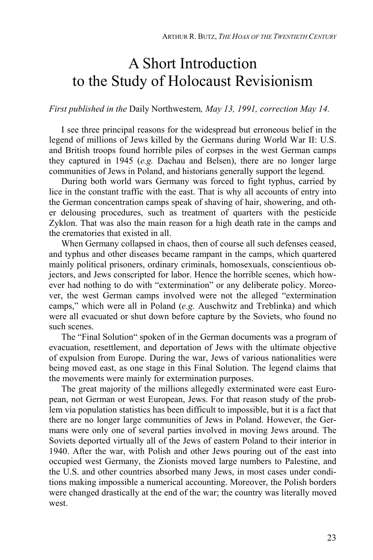## A Short Introduction to the Study of Holocaust Revisionism

*First published in the* Daily Northwestern*, May 13, 1991, correction May 14.* 

I see three principal reasons for the widespread but erroneous belief in the legend of millions of Jews killed by the Germans during World War II: U.S. and British troops found horrible piles of corpses in the west German camps they captured in 1945 (*e.g.* Dachau and Belsen), there are no longer large communities of Jews in Poland, and historians generally support the legend.

During both world wars Germany was forced to fight typhus, carried by lice in the constant traffic with the east. That is why all accounts of entry into the German concentration camps speak of shaving of hair, showering, and other delousing procedures, such as treatment of quarters with the pesticide Zyklon. That was also the main reason for a high death rate in the camps and the crematories that existed in all.

When Germany collapsed in chaos, then of course all such defenses ceased, and typhus and other diseases became rampant in the camps, which quartered mainly political prisoners, ordinary criminals, homosexuals, conscientious objectors, and Jews conscripted for labor. Hence the horrible scenes, which however had nothing to do with "extermination" or any deliberate policy. Moreover, the west German camps involved were not the alleged "extermination camps," which were all in Poland (*e.g.* Auschwitz and Treblinka) and which were all evacuated or shut down before capture by the Soviets, who found no such scenes.

The "Final Solution" spoken of in the German documents was a program of evacuation, resettlement, and deportation of Jews with the ultimate objective of expulsion from Europe. During the war, Jews of various nationalities were being moved east, as one stage in this Final Solution. The legend claims that the movements were mainly for extermination purposes.

The great majority of the millions allegedly exterminated were east European, not German or west European, Jews. For that reason study of the problem via population statistics has been difficult to impossible, but it is a fact that there are no longer large communities of Jews in Poland. However, the Germans were only one of several parties involved in moving Jews around. The Soviets deported virtually all of the Jews of eastern Poland to their interior in 1940. After the war, with Polish and other Jews pouring out of the east into occupied west Germany, the Zionists moved large numbers to Palestine, and the U.S. and other countries absorbed many Jews, in most cases under conditions making impossible a numerical accounting. Moreover, the Polish borders were changed drastically at the end of the war; the country was literally moved west.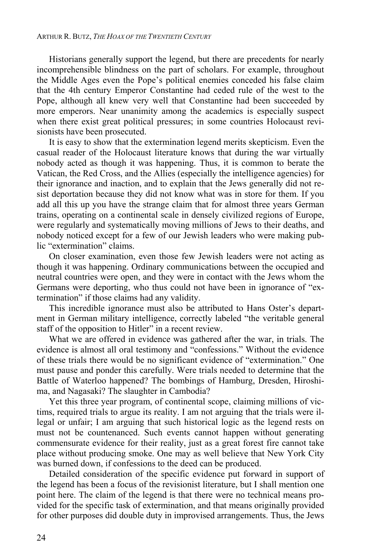Historians generally support the legend, but there are precedents for nearly incomprehensible blindness on the part of scholars. For example, throughout the Middle Ages even the Pope's political enemies conceded his false claim that the 4th century Emperor Constantine had ceded rule of the west to the Pope, although all knew very well that Constantine had been succeeded by more emperors. Near unanimity among the academics is especially suspect when there exist great political pressures; in some countries Holocaust revisionists have been prosecuted.

It is easy to show that the extermination legend merits skepticism. Even the casual reader of the Holocaust literature knows that during the war virtually nobody acted as though it was happening. Thus, it is common to berate the Vatican, the Red Cross, and the Allies (especially the intelligence agencies) for their ignorance and inaction, and to explain that the Jews generally did not resist deportation because they did not know what was in store for them. If you add all this up you have the strange claim that for almost three years German trains, operating on a continental scale in densely civilized regions of Europe, were regularly and systematically moving millions of Jews to their deaths, and nobody noticed except for a few of our Jewish leaders who were making public "extermination" claims.

On closer examination, even those few Jewish leaders were not acting as though it was happening. Ordinary communications between the occupied and neutral countries were open, and they were in contact with the Jews whom the Germans were deporting, who thus could not have been in ignorance of "extermination" if those claims had any validity.

This incredible ignorance must also be attributed to Hans Oster's department in German military intelligence, correctly labeled "the veritable general staff of the opposition to Hitler" in a recent review.

What we are offered in evidence was gathered after the war, in trials. The evidence is almost all oral testimony and "confessions." Without the evidence of these trials there would be no significant evidence of "extermination." One must pause and ponder this carefully. Were trials needed to determine that the Battle of Waterloo happened? The bombings of Hamburg, Dresden, Hiroshima, and Nagasaki? The slaughter in Cambodia?

Yet this three year program, of continental scope, claiming millions of victims, required trials to argue its reality. I am not arguing that the trials were illegal or unfair; I am arguing that such historical logic as the legend rests on must not be countenanced. Such events cannot happen without generating commensurate evidence for their reality, just as a great forest fire cannot take place without producing smoke. One may as well believe that New York City was burned down, if confessions to the deed can be produced.

Detailed consideration of the specific evidence put forward in support of the legend has been a focus of the revisionist literature, but I shall mention one point here. The claim of the legend is that there were no technical means provided for the specific task of extermination, and that means originally provided for other purposes did double duty in improvised arrangements. Thus, the Jews